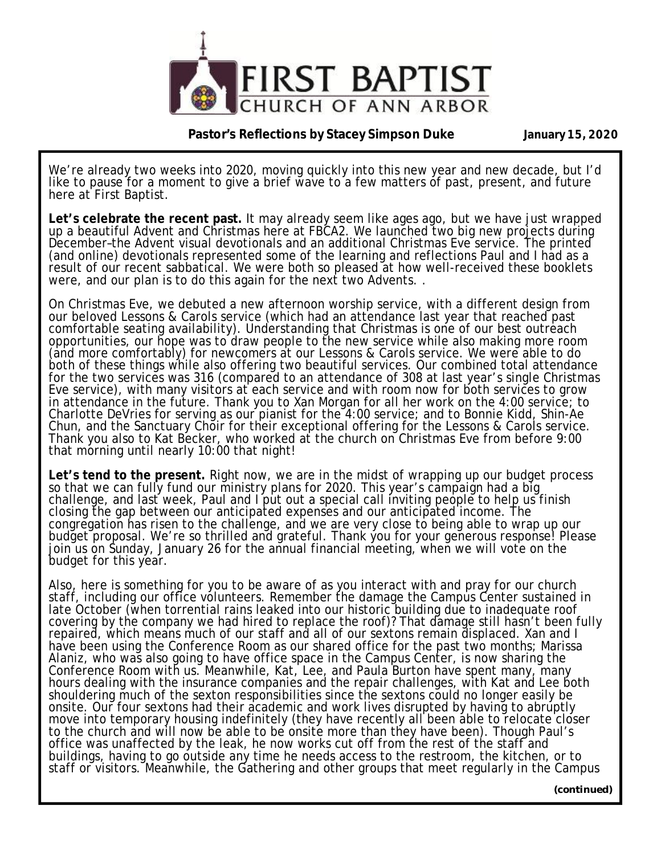

**Pastor's Reflections by Stacey Simpson Duke January 15, 2020** 

We're already two weeks into 2020, moving quickly into this new year and new decade, but I'd like to pause for a moment to give a brief wave to a few matters of past, present, and future here at First Baptist.

**Let's celebrate the recent past.** It may already seem like ages ago, but we have just wrapped up a beautiful Advent and Christmas here at FBCA2. We launched two big new projects during December–the Advent visual devotionals and an additional Christmas Eve service. The printed (and online) devotionals represented some of the learning and reflections Paul and I had as a result of our recent sabbatical. We were both so pleased at how well-received these booklets were, and our plan is to do this again for the next two Advents. .

On Christmas Eve, we debuted a new afternoon worship service, with a different design from our beloved Lessons & Carols service (which had an attendance last year that reached past comfortable seating availability). Understanding that Christmas is one of our best outreach opportunities, our hope was to draw people to the new service while also making more room (and more comfortably) for newcomers at our Lessons & Carols service. We were able to do both of these things while also offering two beautiful services. Our combined total attendance for the two services was 316 (compared to an attendance of 308 at last year's single Christmas Eve service), with many visitors at each service and with room now for both services to grow in attendance in the future. Thank you to Xan Morgan for all her work on the 4:00 service; to Charlotte DeVries for serving as our pianist for the 4:00 service; and to Bonnie Kidd, Shin-Ae Chun, and the Sanctuary Chŏir for their exceptional offering for the Lessons & Carols service. Thank you also to Kat Becker, who worked at the church on Christmas Eve from before 9:00 that morning until nearly 10:00 that night!

**Let's tend to the present.** Right now, we are in the midst of wrapping up our budget process so that we can fully fund our ministry plans for 2020. This year's campaign had a big challenge, and last week, Paul and I put out a special call inviting people to help us finish closing the gap between our anticipated expenses and our anticipated income. The congregation has risen to the challenge, and we are very close to being able to wrap up our budget proposal. We're so thrilled and grateful. Thank you for your generous response! Please join us on Sunday, January 26 for the annual financial meeting, when we will vote on the budget for this year.

Also, here is something for you to be aware of as you interact with and pray for our church staff, including our office volunteers. Remember the damage the Campus Center sustained in late October (when torrential rains leaked into our historic building due to inadequate roof covering by the company we had hired to replace the roof)? That damage still hasn't been fully repaired, which means much of our staff and all of our sextons remain displaced. Xan and I have been using the Conference Room as our shared office for the past two months; Marissa Alaniz, who was also going to have office space in the Campus Center, is now sharing the Conference Room with us. Meanwhile, Kat, Lee, and Paula Burton have spent many, many hours dealing with the insurance companies and the repair challenges, with Kat and Lee both shouldering much of the sexton responsibilities since the sextons could no longer easily be onsite. Our four sextons had their academic and work lives disrupted by having to abruptly move into temporary housing indefinitely (they have recently all been able to relocate closer to the church and will now be able to be onsite more than they have been). Though Paul's office was unaffected by the leak, he now works cut off from the rest of the staff and buildings, having to go outside any time he needs access to the restroom, the kitchen, or to staff or visitors. Meanwhile, the Gathering and other groups that meet regularly in the Campus

**(continued)**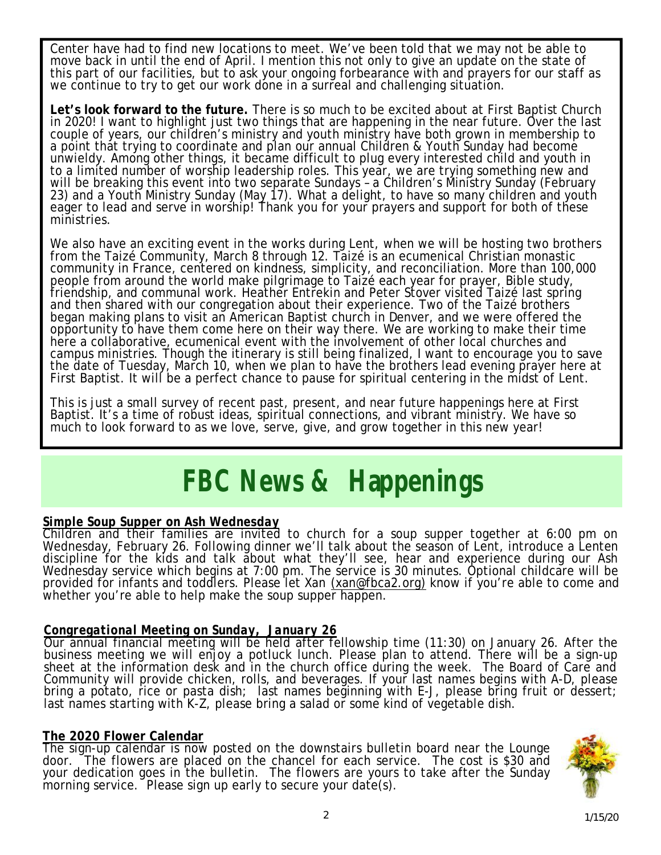Center have had to find new locations to meet. We've been told that we may not be able to move back in until the end of April. I mention this not only to give an update on the state of this part of our facilities, but to ask your ongoing forbearance with and prayers for our staff as we continue to try to get our work done in a surreal and challenging situation.

**Let's look forward to the future.** There is so much to be excited about at First Baptist Church in 2020! I want to highlight just two things that are happening in the near future. Over the last couple of years, our children's ministry and youth ministry have both grown in membership to a point that trying to coordinate and plan our annual Children & Youth Sunday had become unwieldy. Among other things, it became difficult to plug every interested child and youth in to a limited number of worship leadership roles. This year, we are trying something new and will be breaking this event into two separate Sundays - a Children's Ministry Sunday (February 23) and a Youth Ministry Sunday (May 17). What a delight, to have so many children and youth eager to lead and serve in worship! Thank you for your prayers and support for both of these ministries.

We also have an exciting event in the works during Lent, when we will be hosting two brothers from the Taizé Community, March 8 through 12. Taizé is an ecumenical Christian monastic community in France, centered on kindness, simplicity, and reconciliation. More than 100,000 people from around the world make pilgrimage to Taizé each year for prayer, Bible study, friendship, and communal work. Heather Entrekin and Peter Stover visited Taizé last spring and then shared with our congregation about their experience. Two of the Taizé brothers began making plans to visit an American Baptist church in Denver, and we were offered the opportunity to have them come here on their way there. We are working to make their time here a collaborative, ecumenical event with the involvement of other local churches and campus ministries. Though the itinerary is still being finalized, I want to encourage you to save the date of Tuesday, March 10, when we plan to have the brothers lead evening prayer here at First Baptist. It will be a perfect chance to pause for spiritual centering in the midst of Lent.

This is just a small survey of recent past, present, and near future happenings here at First Baptist. It's a time of robust ideas, spiritual connections, and vibrant ministry. We have so much to look forward to as we love, serve, give, and grow together in this new year!

# *FBC News & Happenings*

# *Simple Soup Supper on Ash Wednesday*

Children and their families are invited to church for a soup supper together at 6:00 pm on Wednesday, February 26. Following dinner we'll talk about the season of Lent, introduce a Lenten discipline for the kids and talk about what they'll see, hear and experience during our Ash Wednesday service which begins at 7:00 pm. The service is 30 minutes. Optional childcare will be provided for infants and toddlers. Please let Xan [\(xan@fbca2.org\)](mailto:(xan@fbca2.org)) know if you're able to come and whether you're able to help make the soup supper happen.

# *Congregational Meeting on Sunday, January 26*

Our annual financial meeting will be held after fellowship time (11:30) on January 26. After the business meeting we will enjoy a potluck lunch. Please plan to attend. There will be a sign-up sheet at the information desk and in the church office during the week. The Board of Care and Community will provide chicken, rolls, and beverages. If your last names begins with A-D, please bring a potato, rice or pasta dish; last names beginning with E-J, please bring fruit or dessert; last names starting with K-Z, please bring a salad or some kind of vegetable dish.

#### **The 2020 Flower Calendar**

The sign-up calendar is now posted on the downstairs bulletin board near the Lounge door. The flowers are placed on the chancel for each service. The cost is \$30 and your dedication goes in the bulletin. The flowers are yours to take after the Sunday morning service. Please sign up early to secure your date(s).

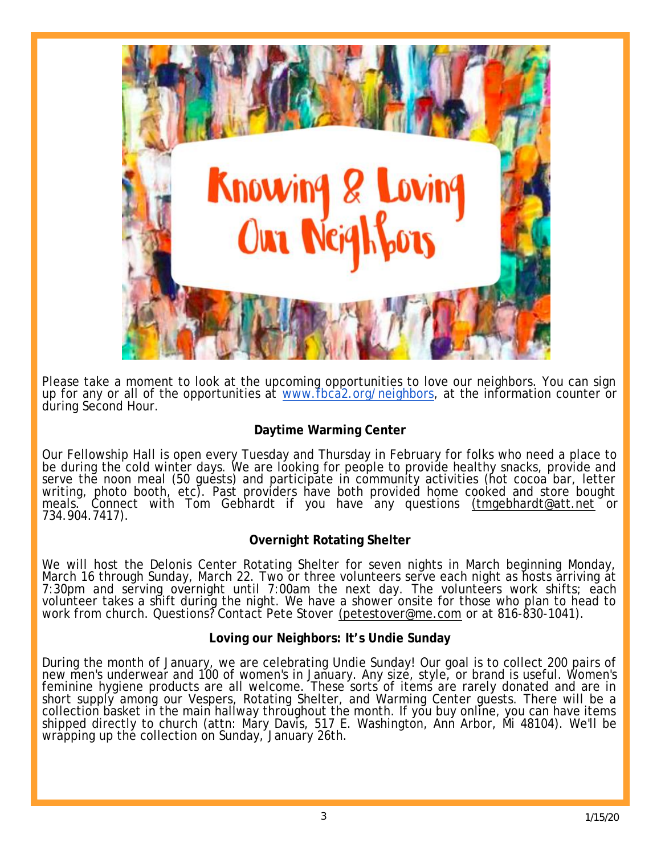

Please take a moment to look at the upcoming opportunities to love our neighbors. You can sign up for any or all of the opportunities at [www.fbca2.org/neighbors](http://www.fbca2.org/neighbors), at the information counter or during Second Hour.

# **Daytime Warming Center**

Our Fellowship Hall is open every Tuesday and Thursday in February for folks who need a place to be during the cold winter days. We are looking for people to provide healthy snacks, provide and serve the noon meal (50 guests) and participate in community activities (hot cocoa bar, letter writing, photo booth, etc). Past providers have both provided home cooked and store bought meals. Connect with Tom Gebhardt if you have any questions [\(tmgebhardt@att.net](mailto:(tmgebhardt@att.net) or 734.904.7417).

# **Overnight Rotating Shelter**

We will host the Delonis Center Rotating Shelter for seven nights in March beginning Monday, March 16 through Sunday, March 22. Two or three volunteers serve each night as hosts arriving at 7:30pm and serving overnight until 7:00am the next day. The volunteers work shifts; each volunteer takes a shift during the night. We have a shower onsite for those who plan to head to work from church. Questions? Contact Pete Stover [\(petestover@me.com](mailto:(petestover@me.com) or at 816-830-1041).

# **Loving our Neighbors: It's Undie Sunday**

During the month of January, we are celebrating Undie Sunday! Our goal is to collect 200 pairs of new men's underwear and 100 of women's in January. Any size, style, or brand is useful. Women's feminine hygiene products are all welcome. These sorts of items are rarely donated and are in short supply among our Vespers, Rotating Shelter, and Warming Center guests. There will be a collection basket in the main hallway throughout the month. If you buy online, you can have items shipped directly to church (attn: Mǎry Davǐs, 517 E. Washingtǒn, Anň Arbor, Mi 48104). We'll be wrapping up the collection on Sunday, January 26th.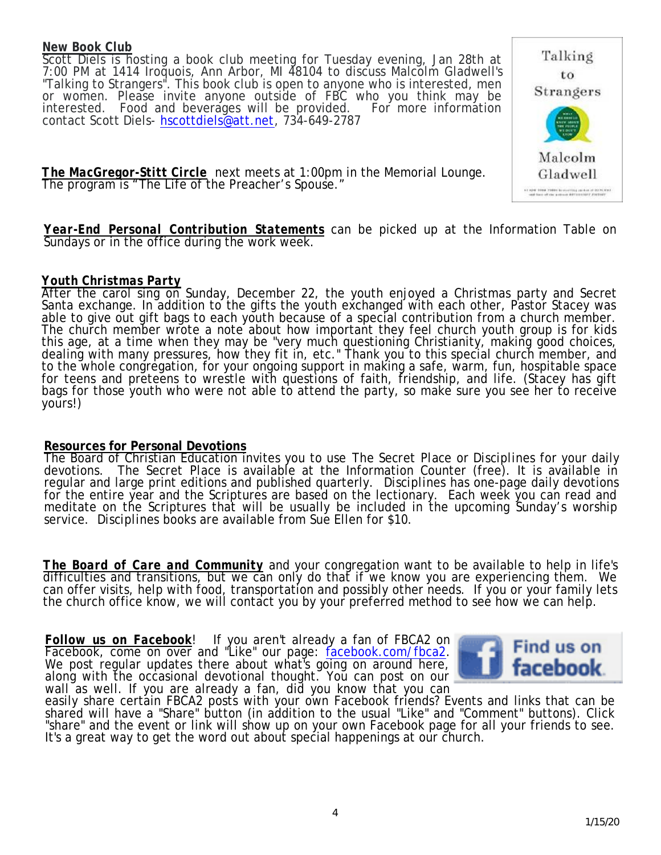#### *New Book Club*

Scott Diels is hosting a book club meeting for Tuesday evening, Jan 28th at 7:00 PM at 1414 Iroquois, Ann Arbor, MI 48104 to discuss Malcolm Gladwell's "Talking to Strangers". This book club is open to anyone who is interested, men or women. Please invite anyone outside of FBC who you think may be interested. Food and beverages will be provided. For more information contact Scott Diels- [hscottdiels@att.net](mailto:hscottdiels@att.net), 734-649-2787



*The MacGregor-Stitt Circle* next meets at 1:00pm in the Memorial Lounge. The program is "The Life of the Preacher's Spouse."

*Year-End Personal Contribution Statements* can be picked up at the Information Table on Sundays or in the office during the work week.

#### *Youth Christmas Party*

After the carol sing on Sunday, December 22, the youth enjoyed a Christmas party and Secret Santa exchange. In addition to the gifts the youth exchanged with each other, Pastor Stacey was able to give out gift bags to each youth because of a special contribution from a church member. The church member wrote a note about how important they feel church youth group is for kids this age, at a time when they may be "very much questioning Christianity, making good choices, dealing with many pressures, how they fit in, etc." Thank you to this special church member, and to the whole congregation, for your ongoing support in making a safe, warm, fun, hospitable space for teens and preteens to wrestle with questions of faith, friendship, and life. (Stacey has gift bags for those youth who were not able to attend the party, so make sure you see her to receive yours!)

#### **Resources for Personal Devotions**

The Board of Christian Education invites you to use *The Secret Place* or *Disciplines* for your daily devotions. *The Secret Place* is available at the Information Counter (free). It is available in regular and large print editions and published quarterly. *Disciplines* has one-page daily devotions for the entire year and the Scriptures are based on the lectionary. Each week you can read and meditate on the Scriptures that will be usually be included in the upcoming Sunday's worship service. *Disciplines* books are available from Sue Ellen for \$10.

*The Board of Care and Community* and your congregation want to be available to help in life's difficulties and transitions, but we can only do that if we know you are experiencing them. We can offer visits, help with food, transportation and possibly other needs. If you or your family lets the church office know, we will contact you by your preferred method to see how we can help.

*Follow us on Facebook*! If you aren't already a fan of FBCA2 on Facebook, come on over and "Like" our page: facebook.com/fbca2. We post regular updates there about what's going on around here, along with the occasional devotional thought. You can post on our wall as well. If you are already a fan, did you know that you can



easily share certain FBCA2 posts with your own Facebook friends? Events and links that can be shared will have a "Share" button (in addition to the usual "Like" and "Comment" buttons). Click "share" and the event or link will show up on your own Facebook page for all your friends to see. It's a great way to get the word out about special happenings at our church.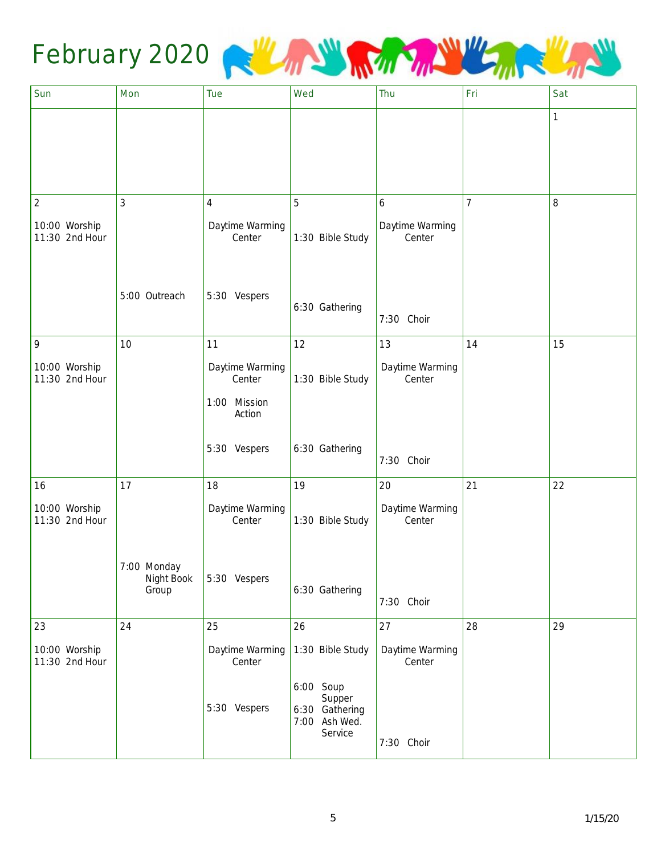

| Sun                             | Mon                 | Tue                       | Wed                                                               | Thu                       | Fri            | Sat |
|---------------------------------|---------------------|---------------------------|-------------------------------------------------------------------|---------------------------|----------------|-----|
|                                 |                     |                           |                                                                   |                           |                | 1   |
|                                 |                     |                           |                                                                   |                           |                |     |
|                                 |                     |                           |                                                                   |                           |                |     |
|                                 |                     |                           |                                                                   |                           |                |     |
| $\overline{2}$                  | 3                   | $\overline{4}$            | 5                                                                 | 6                         | $\overline{7}$ | 8   |
| 10:00 Worship<br>11:30 2nd Hour |                     | Daytime Warming<br>Center | 1:30 Bible Study                                                  | Daytime Warming<br>Center |                |     |
|                                 |                     |                           |                                                                   |                           |                |     |
|                                 | 5:00 Outreach       | 5:30 Vespers              |                                                                   |                           |                |     |
|                                 |                     |                           | 6:30 Gathering                                                    | 7:30 Choir                |                |     |
| $\,9$                           | 10                  | 11                        | 12                                                                | 13                        | 14             | 15  |
| 10:00 Worship<br>11:30 2nd Hour |                     | Daytime Warming<br>Center | 1:30 Bible Study                                                  | Daytime Warming<br>Center |                |     |
|                                 |                     | 1:00 Mission<br>Action    |                                                                   |                           |                |     |
|                                 |                     | 5:30 Vespers              | 6:30 Gathering                                                    | 7:30 Choir                |                |     |
| 16                              | 17                  | 18                        | 19                                                                | 20                        | 21             | 22  |
| 10:00 Worship<br>11:30 2nd Hour |                     | Daytime Warming<br>Center | 1:30 Bible Study                                                  | Daytime Warming<br>Center |                |     |
|                                 | 7:00 Monday         |                           |                                                                   |                           |                |     |
|                                 | Night Book<br>Group | 5:30 Vespers              | 6:30 Gathering                                                    | 7:30 Choir                |                |     |
| 23                              | 24                  | 25                        | 26                                                                | 27                        | 28             | 29  |
| 10:00 Worship<br>11:30 2nd Hour |                     | Daytime Warming<br>Center | 1:30 Bible Study                                                  | Daytime Warming<br>Center |                |     |
|                                 |                     | 5:30 Vespers              | 6:00 Soup<br>Supper<br>6:30 Gathering<br>7:00 Ash Wed.<br>Service | 7:30 Choir                |                |     |